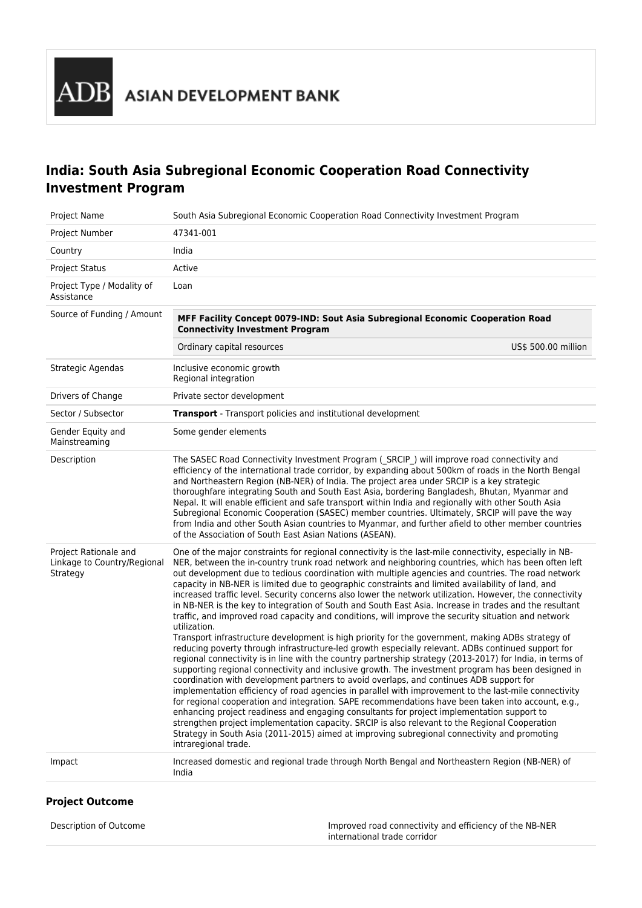**B** ASIAN DEVELOPMENT BANK

# **India: South Asia Subregional Economic Cooperation Road Connectivity Investment Program**

| Project Name                                                     | South Asia Subregional Economic Cooperation Road Connectivity Investment Program                                                                                                                                                                                                                                                                                                                                                                                                                                                                                                                                                                                                                                                                                                                                                                                                                                                                                                                                                                                                                                                                                                                                                                                                                                                                                                                                                                                                                                                                                                                                                                                                                                                                                                                                                       |
|------------------------------------------------------------------|----------------------------------------------------------------------------------------------------------------------------------------------------------------------------------------------------------------------------------------------------------------------------------------------------------------------------------------------------------------------------------------------------------------------------------------------------------------------------------------------------------------------------------------------------------------------------------------------------------------------------------------------------------------------------------------------------------------------------------------------------------------------------------------------------------------------------------------------------------------------------------------------------------------------------------------------------------------------------------------------------------------------------------------------------------------------------------------------------------------------------------------------------------------------------------------------------------------------------------------------------------------------------------------------------------------------------------------------------------------------------------------------------------------------------------------------------------------------------------------------------------------------------------------------------------------------------------------------------------------------------------------------------------------------------------------------------------------------------------------------------------------------------------------------------------------------------------------|
| Project Number                                                   | 47341-001                                                                                                                                                                                                                                                                                                                                                                                                                                                                                                                                                                                                                                                                                                                                                                                                                                                                                                                                                                                                                                                                                                                                                                                                                                                                                                                                                                                                                                                                                                                                                                                                                                                                                                                                                                                                                              |
| Country                                                          | India                                                                                                                                                                                                                                                                                                                                                                                                                                                                                                                                                                                                                                                                                                                                                                                                                                                                                                                                                                                                                                                                                                                                                                                                                                                                                                                                                                                                                                                                                                                                                                                                                                                                                                                                                                                                                                  |
| <b>Project Status</b>                                            | Active                                                                                                                                                                                                                                                                                                                                                                                                                                                                                                                                                                                                                                                                                                                                                                                                                                                                                                                                                                                                                                                                                                                                                                                                                                                                                                                                                                                                                                                                                                                                                                                                                                                                                                                                                                                                                                 |
| Project Type / Modality of<br>Assistance                         | Loan                                                                                                                                                                                                                                                                                                                                                                                                                                                                                                                                                                                                                                                                                                                                                                                                                                                                                                                                                                                                                                                                                                                                                                                                                                                                                                                                                                                                                                                                                                                                                                                                                                                                                                                                                                                                                                   |
| Source of Funding / Amount                                       | MFF Facility Concept 0079-IND: Sout Asia Subregional Economic Cooperation Road<br><b>Connectivity Investment Program</b>                                                                                                                                                                                                                                                                                                                                                                                                                                                                                                                                                                                                                                                                                                                                                                                                                                                                                                                                                                                                                                                                                                                                                                                                                                                                                                                                                                                                                                                                                                                                                                                                                                                                                                               |
|                                                                  | US\$ 500.00 million<br>Ordinary capital resources                                                                                                                                                                                                                                                                                                                                                                                                                                                                                                                                                                                                                                                                                                                                                                                                                                                                                                                                                                                                                                                                                                                                                                                                                                                                                                                                                                                                                                                                                                                                                                                                                                                                                                                                                                                      |
| Strategic Agendas                                                | Inclusive economic growth<br>Regional integration                                                                                                                                                                                                                                                                                                                                                                                                                                                                                                                                                                                                                                                                                                                                                                                                                                                                                                                                                                                                                                                                                                                                                                                                                                                                                                                                                                                                                                                                                                                                                                                                                                                                                                                                                                                      |
| Drivers of Change                                                | Private sector development                                                                                                                                                                                                                                                                                                                                                                                                                                                                                                                                                                                                                                                                                                                                                                                                                                                                                                                                                                                                                                                                                                                                                                                                                                                                                                                                                                                                                                                                                                                                                                                                                                                                                                                                                                                                             |
| Sector / Subsector                                               | <b>Transport</b> - Transport policies and institutional development                                                                                                                                                                                                                                                                                                                                                                                                                                                                                                                                                                                                                                                                                                                                                                                                                                                                                                                                                                                                                                                                                                                                                                                                                                                                                                                                                                                                                                                                                                                                                                                                                                                                                                                                                                    |
| Gender Equity and<br>Mainstreaming                               | Some gender elements                                                                                                                                                                                                                                                                                                                                                                                                                                                                                                                                                                                                                                                                                                                                                                                                                                                                                                                                                                                                                                                                                                                                                                                                                                                                                                                                                                                                                                                                                                                                                                                                                                                                                                                                                                                                                   |
| Description                                                      | The SASEC Road Connectivity Investment Program (SRCIP) will improve road connectivity and<br>efficiency of the international trade corridor, by expanding about 500km of roads in the North Bengal<br>and Northeastern Region (NB-NER) of India. The project area under SRCIP is a key strategic<br>thoroughfare integrating South and South East Asia, bordering Bangladesh, Bhutan, Myanmar and<br>Nepal. It will enable efficient and safe transport within India and regionally with other South Asia<br>Subregional Economic Cooperation (SASEC) member countries. Ultimately, SRCIP will pave the way<br>from India and other South Asian countries to Myanmar, and further afield to other member countries<br>of the Association of South East Asian Nations (ASEAN).                                                                                                                                                                                                                                                                                                                                                                                                                                                                                                                                                                                                                                                                                                                                                                                                                                                                                                                                                                                                                                                          |
| Project Rationale and<br>Linkage to Country/Regional<br>Strategy | One of the major constraints for regional connectivity is the last-mile connectivity, especially in NB-<br>NER, between the in-country trunk road network and neighboring countries, which has been often left<br>out development due to tedious coordination with multiple agencies and countries. The road network<br>capacity in NB-NER is limited due to geographic constraints and limited availability of land, and<br>increased traffic level. Security concerns also lower the network utilization. However, the connectivity<br>in NB-NER is the key to integration of South and South East Asia. Increase in trades and the resultant<br>traffic, and improved road capacity and conditions, will improve the security situation and network<br>utilization.<br>Transport infrastructure development is high priority for the government, making ADBs strategy of<br>reducing poverty through infrastructure-led growth especially relevant. ADBs continued support for<br>regional connectivity is in line with the country partnership strategy (2013-2017) for India, in terms of<br>supporting regional connectivity and inclusive growth. The investment program has been designed in<br>coordination with development partners to avoid overlaps, and continues ADB support for<br>implementation efficiency of road agencies in parallel with improvement to the last-mile connectivity<br>for regional cooperation and integration. SAPE recommendations have been taken into account, e.g.,<br>enhancing project readiness and engaging consultants for project implementation support to<br>strengthen project implementation capacity. SRCIP is also relevant to the Regional Cooperation<br>Strategy in South Asia (2011-2015) aimed at improving subregional connectivity and promoting<br>intraregional trade. |
| Impact                                                           | Increased domestic and regional trade through North Bengal and Northeastern Region (NB-NER) of<br>India                                                                                                                                                                                                                                                                                                                                                                                                                                                                                                                                                                                                                                                                                                                                                                                                                                                                                                                                                                                                                                                                                                                                                                                                                                                                                                                                                                                                                                                                                                                                                                                                                                                                                                                                |

## **Project Outcome**

Improved road connectivity and efficiency of the NB-NER international trade corridor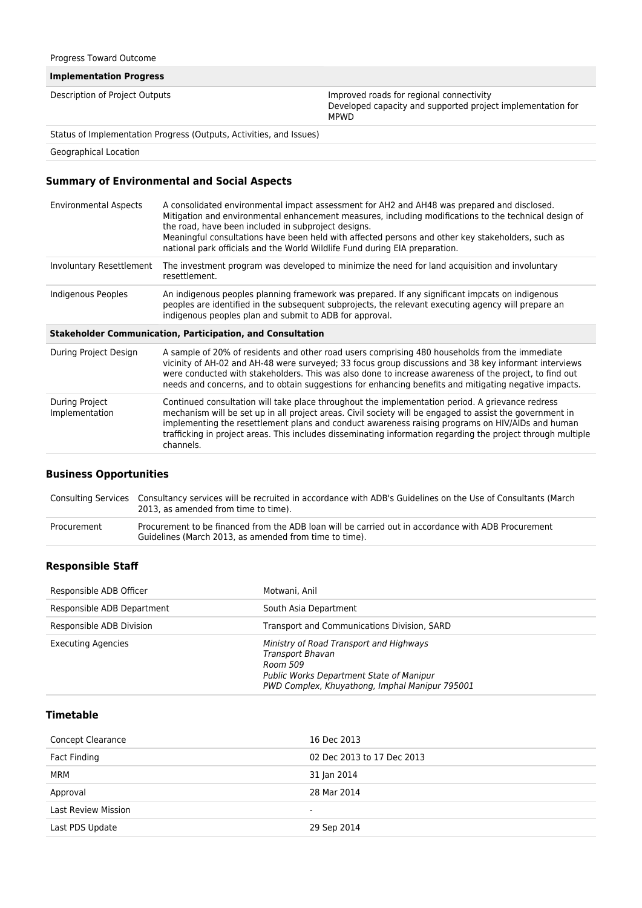#### **Implementation Progress**

| Improved roads for regional connectivity<br>Description of Project Outputs |
|----------------------------------------------------------------------------|
|----------------------------------------------------------------------------|

Developed capacity and supported project implementation for MPWD

Status of Implementation Progress (Outputs, Activities, and Issues)

Geographical Location

### **Summary of Environmental and Social Aspects**

| <b>Environmental Aspects</b>                                      | A consolidated environmental impact assessment for AH2 and AH48 was prepared and disclosed.<br>Mitigation and environmental enhancement measures, including modifications to the technical design of<br>the road, have been included in subproject designs.<br>Meaningful consultations have been held with affected persons and other key stakeholders, such as<br>national park officials and the World Wildlife Fund during EIA preparation. |  |
|-------------------------------------------------------------------|-------------------------------------------------------------------------------------------------------------------------------------------------------------------------------------------------------------------------------------------------------------------------------------------------------------------------------------------------------------------------------------------------------------------------------------------------|--|
| Involuntary Resettlement                                          | The investment program was developed to minimize the need for land acquisition and involuntary<br>resettlement.                                                                                                                                                                                                                                                                                                                                 |  |
| Indigenous Peoples                                                | An indigenous peoples planning framework was prepared. If any significant impcats on indigenous<br>peoples are identified in the subsequent subprojects, the relevant executing agency will prepare an<br>indigenous peoples plan and submit to ADB for approval.                                                                                                                                                                               |  |
| <b>Stakeholder Communication, Participation, and Consultation</b> |                                                                                                                                                                                                                                                                                                                                                                                                                                                 |  |
|                                                                   |                                                                                                                                                                                                                                                                                                                                                                                                                                                 |  |
| During Project Design                                             | A sample of 20% of residents and other road users comprising 480 households from the immediate<br>vicinity of AH-02 and AH-48 were surveyed; 33 focus group discussions and 38 key informant interviews<br>were conducted with stakeholders. This was also done to increase awareness of the project, to find out<br>needs and concerns, and to obtain suggestions for enhancing benefits and mitigating negative impacts.                      |  |

### **Business Opportunities**

|             | Consulting Services Consultancy services will be recruited in accordance with ADB's Guidelines on the Use of Consultants (March<br>2013, as amended from time to time). |
|-------------|-------------------------------------------------------------------------------------------------------------------------------------------------------------------------|
| Procurement | Procurement to be financed from the ADB loan will be carried out in accordance with ADB Procurement<br>Guidelines (March 2013, as amended from time to time).           |

#### **Responsible Staff**

| Responsible ADB Officer    | Motwani, Anil                                                                                                                                                         |
|----------------------------|-----------------------------------------------------------------------------------------------------------------------------------------------------------------------|
| Responsible ADB Department | South Asia Department                                                                                                                                                 |
| Responsible ADB Division   | Transport and Communications Division, SARD                                                                                                                           |
| <b>Executing Agencies</b>  | Ministry of Road Transport and Highways<br>Transport Bhavan<br>Room 509<br>Public Works Department State of Manipur<br>PWD Complex, Khuyathong, Imphal Manipur 795001 |

## **Timetable**

| <b>Concept Clearance</b>   | 16 Dec 2013                |
|----------------------------|----------------------------|
| Fact Finding               | 02 Dec 2013 to 17 Dec 2013 |
| MRM                        | 31 Jan 2014                |
| Approval                   | 28 Mar 2014                |
| <b>Last Review Mission</b> | $\overline{\phantom{0}}$   |
| Last PDS Update            | 29 Sep 2014                |